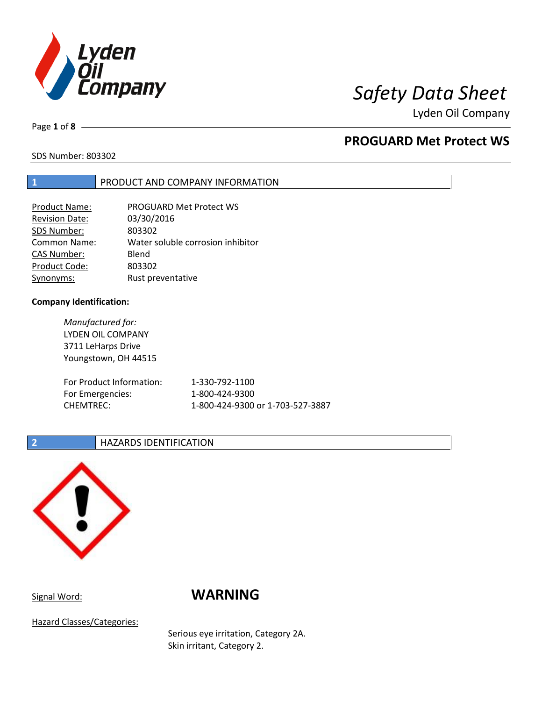

Lyden Oil Company

Page **1** of **8**

# **PROGUARD Met Protect WS**

SDS Number: 803302

## **1** PRODUCT AND COMPANY INFORMATION

| <b>Product Name:</b>  | <b>PROGUARD Met Protect WS</b>    |
|-----------------------|-----------------------------------|
| <b>Revision Date:</b> | 03/30/2016                        |
| SDS Number:           | 803302                            |
| <b>Common Name:</b>   | Water soluble corrosion inhibitor |
| <b>CAS Number:</b>    | Blend                             |
| Product Code:         | 803302                            |
| Synonyms:             | Rust preventative                 |

## **Company Identification:**

*Manufactured for:* LYDEN OIL COMPANY 3711 LeHarps Drive Youngstown, OH 44515 For Product Information: 1-330-792-1100 For Emergencies: 1-800-424-9300 CHEMTREC: 1-800-424-9300 or 1-703-527-3887

## **2 HAZARDS IDENTIFICATION**



## Signal Word: **WARNING**

Hazard Classes/Categories:

Serious eye irritation, Category 2A. Skin irritant, Category 2.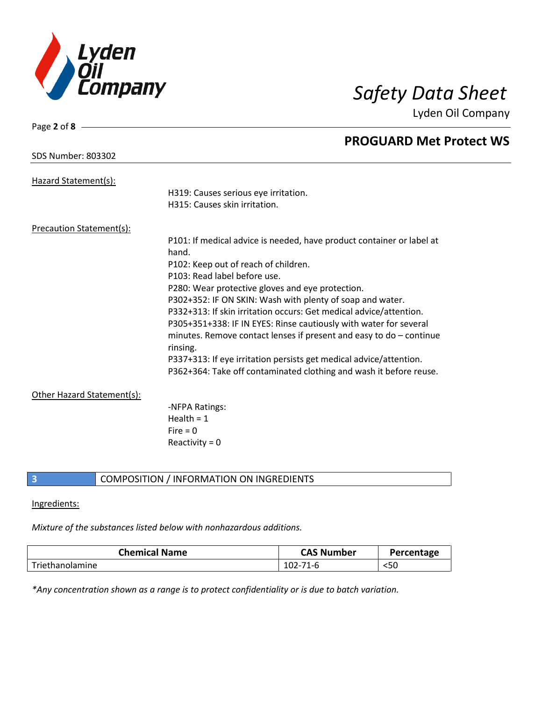

Lyden Oil Company

| Page 2 of 8 -                   |                                                                                   |
|---------------------------------|-----------------------------------------------------------------------------------|
|                                 | <b>PROGUARD Met Protect WS</b>                                                    |
| <b>SDS Number: 803302</b>       |                                                                                   |
| Hazard Statement(s):            |                                                                                   |
|                                 | H319: Causes serious eye irritation.                                              |
|                                 | H315: Causes skin irritation.                                                     |
|                                 |                                                                                   |
| <b>Precaution Statement(s):</b> |                                                                                   |
|                                 | P101: If medical advice is needed, have product container or label at             |
|                                 | hand.                                                                             |
|                                 | P102: Keep out of reach of children.                                              |
|                                 | P103: Read label before use.                                                      |
|                                 | P280: Wear protective gloves and eye protection.                                  |
|                                 | P302+352: IF ON SKIN: Wash with plenty of soap and water.                         |
|                                 | P332+313: If skin irritation occurs: Get medical advice/attention.                |
|                                 | P305+351+338: IF IN EYES: Rinse cautiously with water for several                 |
|                                 | minutes. Remove contact lenses if present and easy to do $-$ continue<br>rinsing. |
|                                 | P337+313: If eye irritation persists get medical advice/attention.                |
|                                 | P362+364: Take off contaminated clothing and wash it before reuse.                |
|                                 |                                                                                   |
| Other Hazard Statement(s):      |                                                                                   |
|                                 | -NFPA Ratings:                                                                    |
|                                 | Health = $1$                                                                      |
|                                 | Fire $= 0$                                                                        |
|                                 | Reactivity = $0$                                                                  |

## **3** COMPOSITION / INFORMATION ON INGREDIENTS

### Ingredients:

## *Mixture of the substances listed below with nonhazardous additions.*

| <b>Chemical Name</b> | <b>CAS Number</b> | Percentage |
|----------------------|-------------------|------------|
| Triethanolamine      | $102 - 71 - 6$    | $50$       |

*\*Any concentration shown as a range is to protect confidentiality or is due to batch variation.*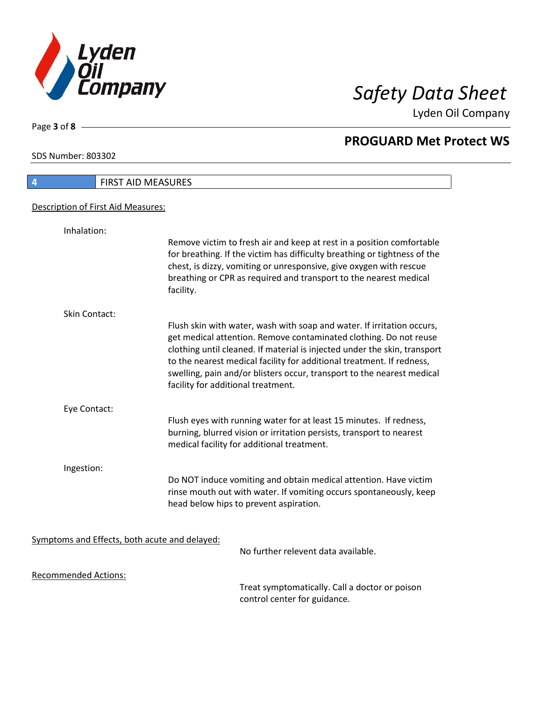

Lyden Oil Company

SDS Number: 803302

Page **3** of **8**

 $\overline{\phantom{a}}$ 

| 4                                             | <b>FIRST AID MEASURES</b>                                                                                                                                                                                                                                                                                                                                                                                         |
|-----------------------------------------------|-------------------------------------------------------------------------------------------------------------------------------------------------------------------------------------------------------------------------------------------------------------------------------------------------------------------------------------------------------------------------------------------------------------------|
| Description of First Aid Measures:            |                                                                                                                                                                                                                                                                                                                                                                                                                   |
|                                               |                                                                                                                                                                                                                                                                                                                                                                                                                   |
| Inhalation:                                   | Remove victim to fresh air and keep at rest in a position comfortable<br>for breathing. If the victim has difficulty breathing or tightness of the<br>chest, is dizzy, vomiting or unresponsive, give oxygen with rescue<br>breathing or CPR as required and transport to the nearest medical<br>facility.                                                                                                        |
| Skin Contact:                                 |                                                                                                                                                                                                                                                                                                                                                                                                                   |
|                                               | Flush skin with water, wash with soap and water. If irritation occurs,<br>get medical attention. Remove contaminated clothing. Do not reuse<br>clothing until cleaned. If material is injected under the skin, transport<br>to the nearest medical facility for additional treatment. If redness,<br>swelling, pain and/or blisters occur, transport to the nearest medical<br>facility for additional treatment. |
| Eye Contact:                                  |                                                                                                                                                                                                                                                                                                                                                                                                                   |
|                                               | Flush eyes with running water for at least 15 minutes. If redness,<br>burning, blurred vision or irritation persists, transport to nearest<br>medical facility for additional treatment.                                                                                                                                                                                                                          |
| Ingestion:                                    |                                                                                                                                                                                                                                                                                                                                                                                                                   |
|                                               | Do NOT induce vomiting and obtain medical attention. Have victim<br>rinse mouth out with water. If vomiting occurs spontaneously, keep<br>head below hips to prevent aspiration.                                                                                                                                                                                                                                  |
| Symptoms and Effects, both acute and delayed: |                                                                                                                                                                                                                                                                                                                                                                                                                   |
|                                               | No further relevent data available.                                                                                                                                                                                                                                                                                                                                                                               |
| <b>Recommended Actions:</b>                   |                                                                                                                                                                                                                                                                                                                                                                                                                   |
|                                               | Troat cumptomatically. Call a doctor or noison                                                                                                                                                                                                                                                                                                                                                                    |

Treat symptomatically. Call a doctor or poison control center for guidance.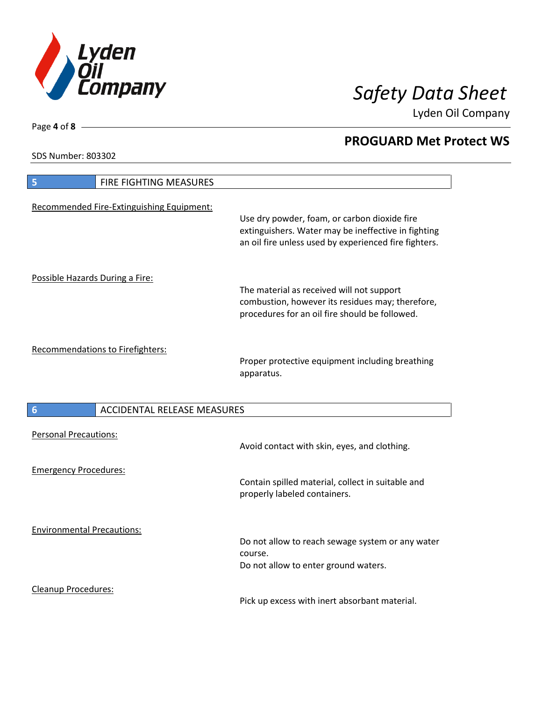

Lyden Oil Company

SDS Number: 803302

Page **4** of **8**

| FIRE FIGHTING MEASURES<br>5                           |                                                                                                                                                              |
|-------------------------------------------------------|--------------------------------------------------------------------------------------------------------------------------------------------------------------|
| Recommended Fire-Extinguishing Equipment:             | Use dry powder, foam, or carbon dioxide fire<br>extinguishers. Water may be ineffective in fighting<br>an oil fire unless used by experienced fire fighters. |
| Possible Hazards During a Fire:                       | The material as received will not support<br>combustion, however its residues may; therefore,<br>procedures for an oil fire should be followed.              |
| Recommendations to Firefighters:                      | Proper protective equipment including breathing<br>apparatus.                                                                                                |
| <b>ACCIDENTAL RELEASE MEASURES</b><br>$6\phantom{1}6$ |                                                                                                                                                              |
| <b>Personal Precautions:</b>                          | Avoid contact with skin, eyes, and clothing.                                                                                                                 |
| <b>Emergency Procedures:</b>                          | Contain spilled material, collect in suitable and<br>properly labeled containers.                                                                            |
| <b>Environmental Precautions:</b>                     | Do not allow to reach sewage system or any water<br>course.<br>Do not allow to enter ground waters.                                                          |
| <b>Cleanup Procedures:</b>                            |                                                                                                                                                              |

Pick up excess with inert absorbant material.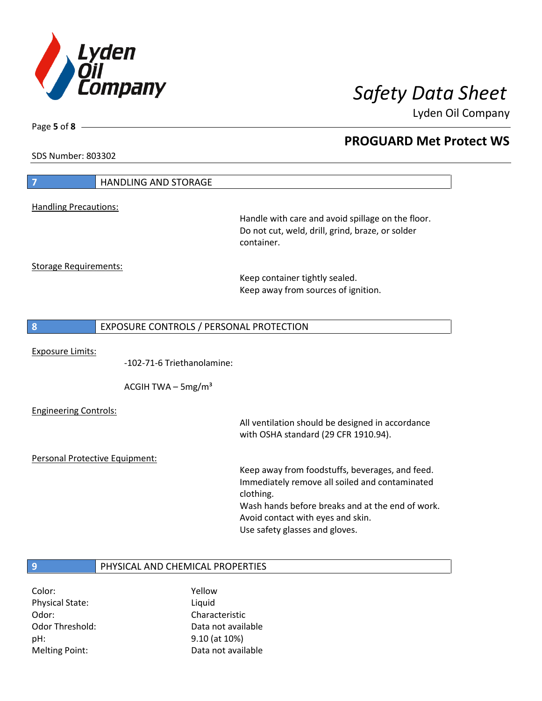

Lyden Oil Company

SDS Number: 803302

Page **5** of **8**

| 7                              | <b>HANDLING AND STORAGE</b>             |                                                                                                                                                                                                                                           |
|--------------------------------|-----------------------------------------|-------------------------------------------------------------------------------------------------------------------------------------------------------------------------------------------------------------------------------------------|
| <b>Handling Precautions:</b>   |                                         |                                                                                                                                                                                                                                           |
|                                |                                         | Handle with care and avoid spillage on the floor.<br>Do not cut, weld, drill, grind, braze, or solder<br>container.                                                                                                                       |
| <b>Storage Requirements:</b>   |                                         |                                                                                                                                                                                                                                           |
|                                |                                         | Keep container tightly sealed.<br>Keep away from sources of ignition.                                                                                                                                                                     |
|                                |                                         |                                                                                                                                                                                                                                           |
| 8                              | EXPOSURE CONTROLS / PERSONAL PROTECTION |                                                                                                                                                                                                                                           |
| <b>Exposure Limits:</b>        | -102-71-6 Triethanolamine:              |                                                                                                                                                                                                                                           |
|                                | ACGIH TWA $-$ 5mg/m <sup>3</sup>        |                                                                                                                                                                                                                                           |
| <b>Engineering Controls:</b>   |                                         | All ventilation should be designed in accordance<br>with OSHA standard (29 CFR 1910.94).                                                                                                                                                  |
| Personal Protective Equipment: |                                         |                                                                                                                                                                                                                                           |
|                                |                                         | Keep away from foodstuffs, beverages, and feed.<br>Immediately remove all soiled and contaminated<br>clothing.<br>Wash hands before breaks and at the end of work.<br>Avoid contact with eyes and skin.<br>Use safety glasses and gloves. |
| 9                              | PHYSICAL AND CHEMICAL PROPERTIES        |                                                                                                                                                                                                                                           |
| Color:                         | Yellow                                  |                                                                                                                                                                                                                                           |

Physical State: Liquid Odor: Characteristic pH: 9.10 (at 10%) Melting Point: Case Controller Muslim Data not available

Odor Threshold: Data not available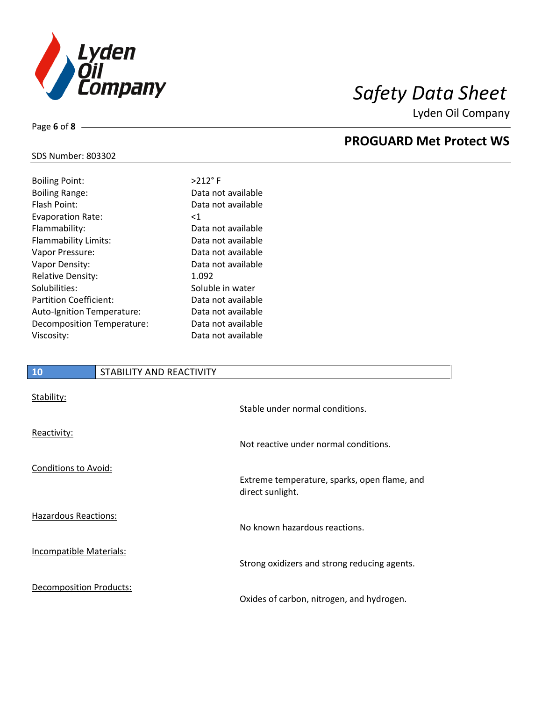

Lyden Oil Company

## SDS Number: 803302

| <b>Boiling Point:</b>         | $>212$ °F          |
|-------------------------------|--------------------|
| <b>Boiling Range:</b>         | Data not available |
| Flash Point:                  | Data not available |
| <b>Evaporation Rate:</b>      | ${<}1$             |
| Flammability:                 | Data not available |
| Flammability Limits:          | Data not available |
| Vapor Pressure:               | Data not available |
| Vapor Density:                | Data not available |
| <b>Relative Density:</b>      | 1.092              |
| Solubilities:                 | Soluble in water   |
| <b>Partition Coefficient:</b> | Data not available |
| Auto-Ignition Temperature:    | Data not available |
| Decomposition Temperature:    | Data not available |
| Viscosity:                    | Data not available |
|                               |                    |

## **10** STABILITY AND REACTIVITY

| Stability:                     | Stable under normal conditions.                                  |
|--------------------------------|------------------------------------------------------------------|
| Reactivity:                    | Not reactive under normal conditions.                            |
| Conditions to Avoid:           | Extreme temperature, sparks, open flame, and<br>direct sunlight. |
| <b>Hazardous Reactions:</b>    | No known hazardous reactions.                                    |
| <b>Incompatible Materials:</b> | Strong oxidizers and strong reducing agents.                     |
| <b>Decomposition Products:</b> | Oxides of carbon, nitrogen, and hydrogen.                        |

Page **6** of **8**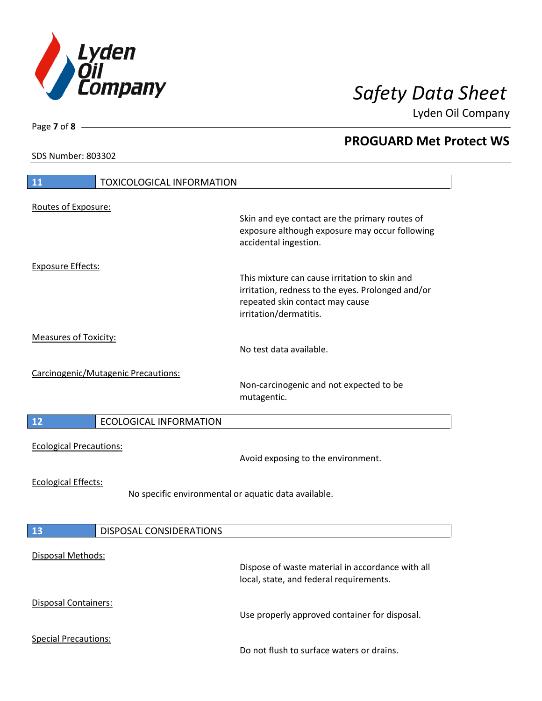

Lyden Oil Company

SDS Number: 803302

Page **7** of **8**

# **11** TOXICOLOGICAL INFORMATION Routes of Exposure: Skin and eye contact are the primary routes of exposure although exposure may occur following accidental ingestion. Exposure Effects: This mixture can cause irritation to skin and irritation, redness to the eyes. Prolonged and/or repeated skin contact may cause irritation/dermatitis. Measures of Toxicity: No test data available. Carcinogenic/Mutagenic Precautions: Non-carcinogenic and not expected to be mutagentic. **12** ECOLOGICAL INFORMATION Ecological Precautions: Avoid exposing to the environment. Ecological Effects: No specific environmental or aquatic data available. **13** DISPOSAL CONSIDERATIONS Disposal Methods: Dispose of waste material in accordance with all local, state, and federal requirements. Disposal Containers: Use properly approved container for disposal. Special Precautions: Do not flush to surface waters or drains.